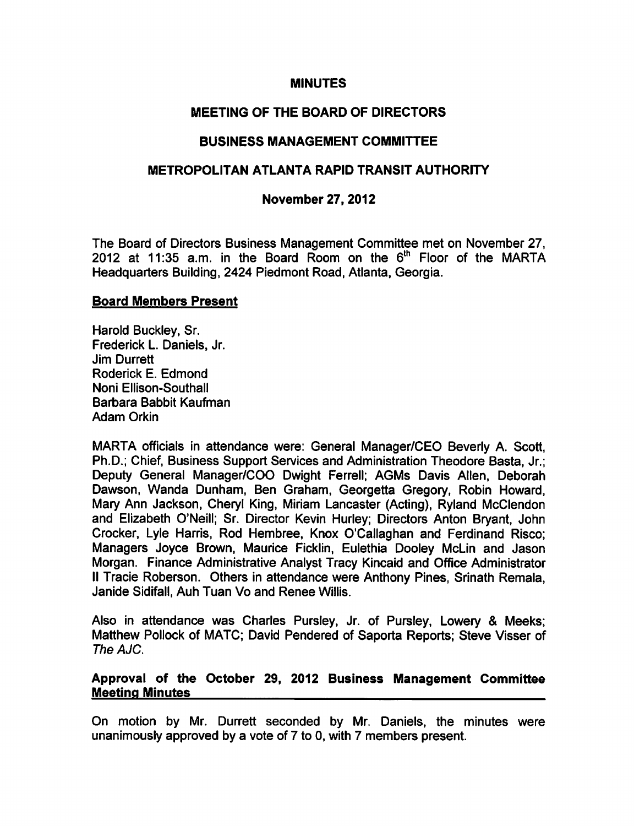### MINUTES

## MEETING OF THE BOARD OF DIRECTORS

## BUSINESS MANAGEMENT COMMITTEE

## METROPOLITAN ATLANTA RAPID TRANSIT AUTHORITY

### November 27, 2012

The Board of Directors Business Management Committee met on November 27, 2012 at 11:35 a.m. in the Board Room on the  $6<sup>th</sup>$  Floor of the MARTA Headquarters Building, 2424 Piedmont Road, Atlanta, Georgia.

#### Board Members Present

Harold Buckley, Sr. Frederick L. Daniels, Jr. Jim Durrett Roderick E. Edmond Noni Ellison-Southall Barbara Babbit Kaufman Adam Orkin

MARTA officials in attendance were: General Manager/CEO Beverly A. Scott, Ph.D.; Chief, Business Support Services and Administration Theodore Basta, Jr.; Deputy General Manager/COO Dwight Ferrell; AGMs Davis Allen, Deborah Dawson, Wanda Dunham, Ben Graham, Georgetta Gregory, Robin Howard, Mary Ann Jackson, Cheryl King, Miriam Lancaster (Acting), Ryland McClendon and Elizabeth O'Neill; Sr. Director Kevin Hurley; Directors Anton Bryant, John Crocker, Lyle Harris, Rod Hembree, Knox O'Callaghan and Ferdinand Risco; Managers Joyce Brown, Maurice Ficklin, Eulethia Dooley McLin and Jason Morgan. Finance Administrative Analyst Tracy Kincaid and Office Administrator II Tracie Roberson. Others in attendance were Anthony Pines, Srinath Remala, Janide Sidifall, Auh Tuan Vo and Renee Willis.

Also in attendance was Charles Pursley, Jr. of Pursley, Lowery & Meeks; Matthew Pollock of MATC; David Pendered of Saporta Reports; Steve Visser of The AJC.

## Approval of the October 29, 2012 Business Management Committee Meeting Minutes

On motion by Mr. Durrett seconded by Mr. Daniels, the minutes were unanimously approved by a vote of  $7$  to 0, with  $7$  members present.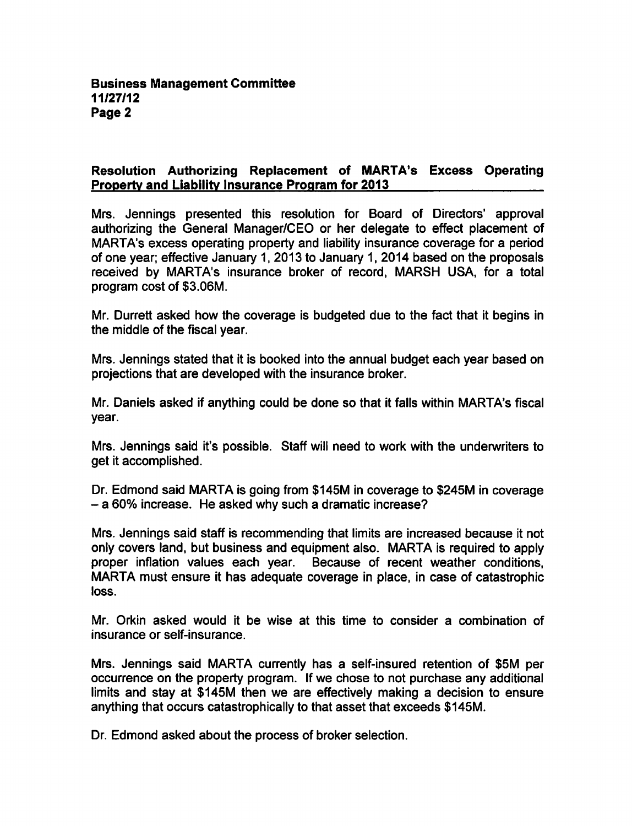## Resolution Authorizing Replacement of MARTA's Excess Operating Property and Liability Insurance Program for 2013

Mrs. Jennings presented this resolution for Board of Directors' approval authorizing the General Manager/CEO or her delegate to effect placement of MARTA's excess operating property and liability insurance coverage for a period of one year; effective January 1, 2013 to January 1, 2014 based on the proposals received by MARTA's insurance broker of record, MARSH USA, for a total program cost of \$3.06M.

Mr. Durrett asked how the coverage is budgeted due to the fact that it begins in the middle of the fiscal year.

Mrs. Jennings stated that it is booked into the annual budget each year based on projections that are developed with the insurance broker.

Mr. Daniels asked if anything could be done so that it falls within MARTA's fiscal year.

Mrs. Jennings said it's possible. Staff will need to work with the underwriters to get it accomplished.

Dr. Edmond said MARTA is going from \$145M in coverage to \$245M in coverage  $-$  a 60% increase. He asked why such a dramatic increase?

Mrs. Jennings said staff is recommending that limits are increased because it not only covers land, but business and equipment also. MARTA is required to apply proper inflation values each year. Because of recent weather conditions, MARTA must ensure it has adequate coverage in place, in case of catastrophic loss.

Mr. Orkin asked would it be wise at this time to consider a combination of insurance or self-insurance.

Mrs. Jennings said MARTA currently has self-insured retention of \$5M per occurrence on the property program. If we chose to not purchase any additional limits and stay at \$145M then we are effectively making a decision to ensure anything that occurs catastrophically to that asset that exceeds \$145M.

Dr. Edmond asked about the process of broker selection.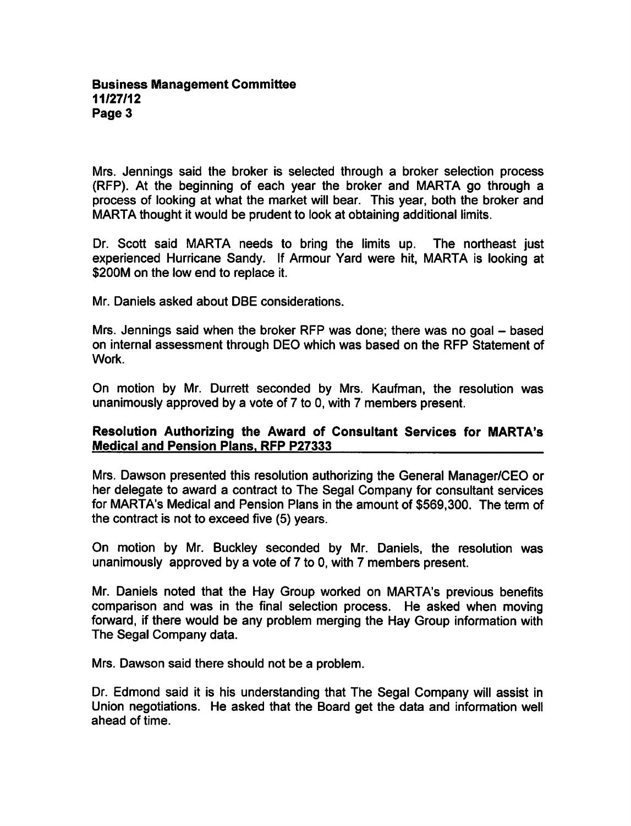Mrs. Jennings said the broker is selected through a broker selection process (RFP). At the beginning of each year the broker and MARTA go through process of looking at what the market will bear. This year, both the broker and MARTA thought it would be prudent to look at obtaining additional limits.

Dr. Scott said MARTA needs to bring the limits up. The northeast just experienced Hurricane Sandy. If Armour Yard were hit, MARTA is looking at \$200M on the low end to replace it.

Mr. Daniels asked about DBE considerations.

Mrs. Jennings said when the broker RFP was done; there was no goal  $-$  based on internal assessment through DEO which was based on the RFP Statement of Work.

On motion by Mr. Durrett seconded by Mrs. Kaufman, the resolution was unanimously approved by a vote of  $7$  to 0, with  $7$  members present.

### Resolution Authorizing the Award of Consultant Services for MARTA's Medical and Pension Plans. RFP P27333

Mrs. Dawson presented this resolution authorizing the General Manager/CEO or her delegate to award a contract to The Segal Company for consultant services for MARTA's Medical and Pension Plans in the amount of \$569,300. The term of the contract is not to exceed five (5) years.

On motion by Mr. Buckley seconded by Mr. Daniels, the resolution was unanimously approved by a vote of 7 to 0, with 7 members present.

Mr. Daniels noted that the Hay Group worked on MARTA's previous benefits comparison and was in the final selection process. He asked when moving forward, if there would be any problem merging the Hay Group information with The Segal Company data.

Mrs. Dawson said there should not be a problem.

Dr. Edmond said it is his understanding that The Segal Company will assist in Union negotiations. He asked that the Board get the data and information well ahead of time.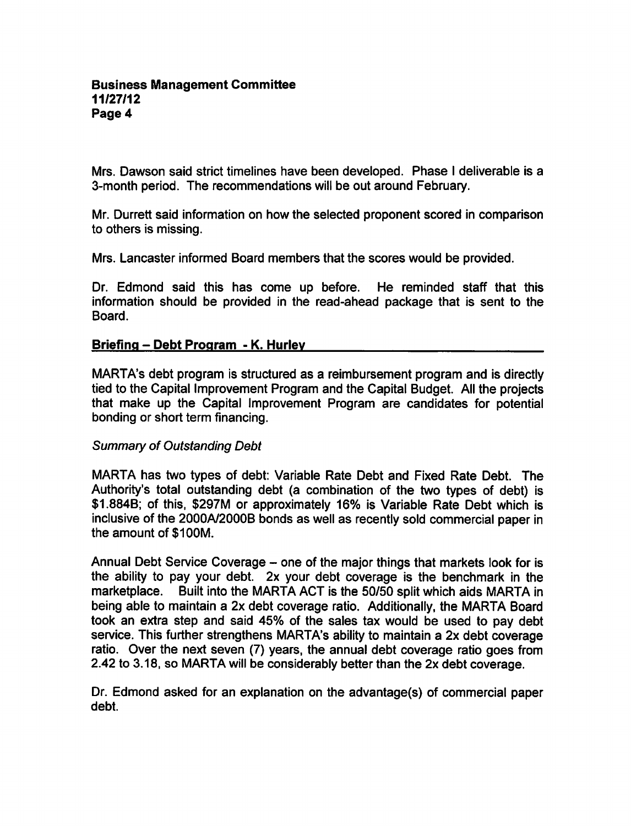Mrs. Dawson said strict timelines have been developed. Phase I deliverable is a 3-month period. The recommendations will be out around February.

Mr. Durrett said information on how the selected proponent scored in comparison to others is missing.

Mrs. Lancaster informed Board members that the scores would be provided.

Dr. Edmond said this has come up before. He reminded staff that this information should be provided in the read-ahead package that is sent to the Board.

#### Briefing – Debt Program - K. Hurley

MARTA's debt program is structured as a reimbursement program and is directly tied to the Capital Improvement Program and the Capital Budget. All the projects that make up the Capital Improvement Program are candidates for potential bonding or short term financing.

#### Summary of Outstanding Debt

MARTA has two types of debt: Variable Rate Debt and Fixed Rate Debt. The Authority's total outstanding debt (a combination of the two types of debt) is \$1.884B; of this, \$297M or approximately 16% is Variable Rate Debt which is inclusive of the 2000A/2000B bonds as well as recently sold commercial paper in the amount of \$100M.

Annual Debt Service Coverage – one of the major things that markets look for is the ability to pay your debt. 2x your debt coverage is the benchmark in the marketplace. Built into the MARTA ACT is the 50/50 split which aids MARTA in being able to maintain a 2x debt coverage ratio. Additionally, the MARTA Board took an extra step and said 45% of the sales tax would be used to pay debt service. This further strengthens MARTA's ability to maintain a 2x debt coverage ratio. Over the next seven (7) years, the annual debt coverage ratio goes from 2.42 to 3.18, so MARTA will be considerably better than the 2x debt coverage.

Dr. Edmond asked for an explanation on the advantage(s) of commercial paper debt.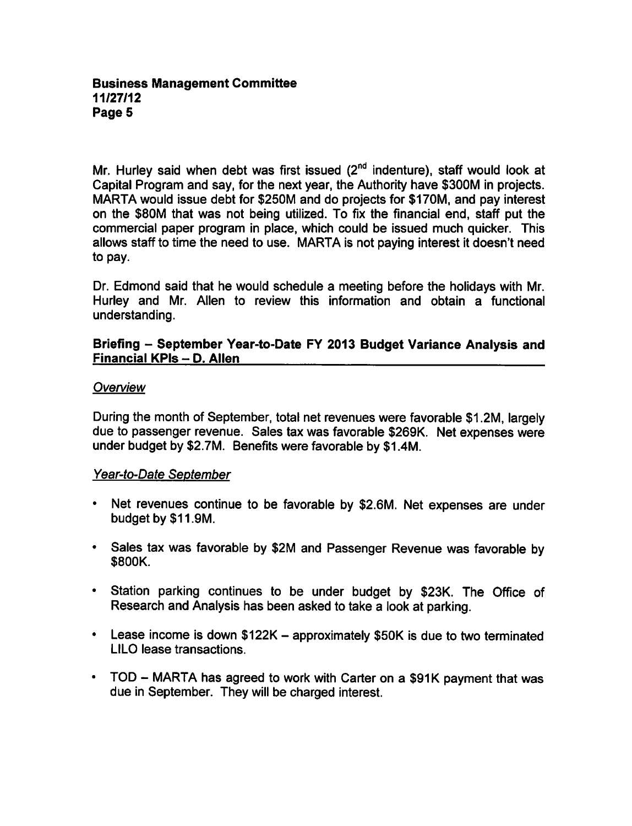Mr. Hurley said when debt was first issued  $(2^{nd}$  indenture), staff would look at Capital Program and say, for the next year, the Authority have \$300M in projects. MARTA would issue debt for \$250M and do projects for \$170M, and pay interest on the \$80M that was not being utilized. To fix the financial end, staff put the commercial paper program in place, which could be issued much quicker. This allows staff to time the need to use. MARTA is not paying interest it doesn't need to pay.

Dr. Edmond said that he would schedule a meeting before the holidays with Mr. Hurley and Mr. Allen to review this information and obtain a functional understanding.

### Briefing - September Year-to-Date FY 2013 Budget Variance Analysis and Financial KPIs  $-$  D. Allen

## **Overview**

During the month of September, total net revenues were favorable \$1.2M, largely due to passenger revenue. Sales tax was favorable \$269K. Net expenses were under budget by \$2.7M. Benefits were favorable by \$1.4M.

## Year-to-Date September

- Net revenues continue to be favorable by \$2.6M. Net expenses are under budget by \$11.9M.
- Sales tax was favorable by \$2M and Passenger Revenue was favorable by \$800K.
- Station parking continues to be under budget by \$23K. The Office of Research and Analysis has been asked to take a look at parking.
- $\cdot$  Lease income is down \$122K approximately \$50K is due to two terminated LILO lease transactions.
- TOD MARTA has agreed to work with Carter on a \$91K payment that was due in September. They will be charged interest.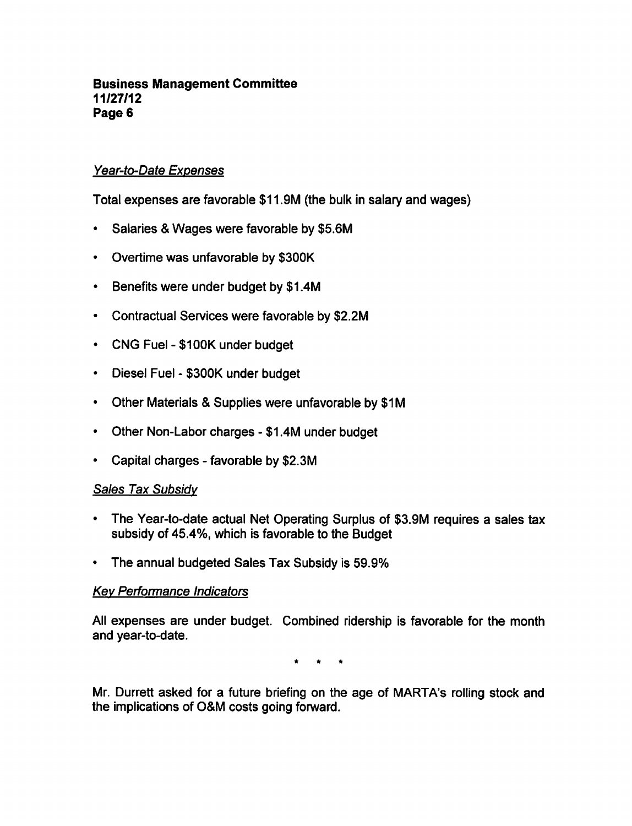# Year-to-Date Expenses

Total expenses are favorable \$11.9M (the bulk in salary and wages)

- Salaries & Wages were favorable by \$5.6M
- Overtime was unfavorable by \$300K
- Benefits were under budget by \$1.4M
- Contractual Services were favorable by \$2.2M
- CNG Fuel \$100K under budget
- Diesel Fuel \$300K under budget
- Other Materials & Supplies were unfavorable by \$1M
- Other Non-Labor charges \$1.4M under budget
- Capital charges favorable by  $$2.3M$

## Sales Tax Subsidy

- The Year-to-date actual Net Operating Surplus of \$3.9M requires a sales tax subsidy of 45.4%, which is favorable to the Budget
- The annual budgeted Sales Tax Subsidy is 59.9%

## Key Performance Indicators

All expenses are under budget. Combined ridership is favorable for the month and year-to-date.

Mr. Durrett asked for a future briefing on the age of MARTA's rolling stock and the implications of O&M costs going forward.